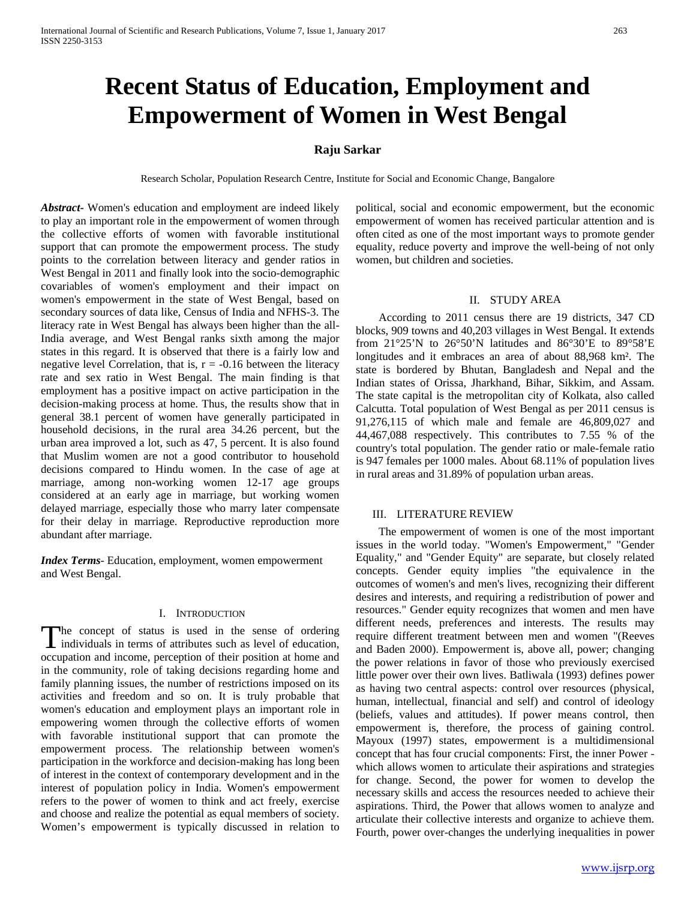# **Recent Status of Education, Employment and Empowerment of Women in West Bengal**

## **Raju Sarkar**

Research Scholar, Population Research Centre, Institute for Social and Economic Change, Bangalore

*Abstract***-** Women's education and employment are indeed likely to play an important role in the empowerment of women through the collective efforts of women with favorable institutional support that can promote the empowerment process. The study points to the correlation between literacy and gender ratios in West Bengal in 2011 and finally look into the socio-demographic covariables of women's employment and their impact on women's empowerment in the state of West Bengal, based on secondary sources of data like, Census of India and NFHS-3. The literacy rate in West Bengal has always been higher than the all-India average, and West Bengal ranks sixth among the major states in this regard. It is observed that there is a fairly low and negative level Correlation, that is,  $r = -0.16$  between the literacy rate and sex ratio in West Bengal. The main finding is that employment has a positive impact on active participation in the decision-making process at home. Thus, the results show that in general 38.1 percent of women have generally participated in household decisions, in the rural area 34.26 percent, but the urban area improved a lot, such as 47, 5 percent. It is also found that Muslim women are not a good contributor to household decisions compared to Hindu women. In the case of age at marriage, among non-working women 12-17 age groups considered at an early age in marriage, but working women delayed marriage, especially those who marry later compensate for their delay in marriage. Reproductive reproduction more abundant after marriage.

*Index Terms*- Education, employment, women empowerment and West Bengal.

# I. INTRODUCTION

he concept of status is used in the sense of ordering The concept of status is used in the sense of ordering individuals in terms of attributes such as level of education, occupation and income, perception of their position at home and in the community, role of taking decisions regarding home and family planning issues, the number of restrictions imposed on its activities and freedom and so on. It is truly probable that women's education and employment plays an important role in empowering women through the collective efforts of women with favorable institutional support that can promote the empowerment process. The relationship between women's participation in the workforce and decision-making has long been of interest in the context of contemporary development and in the interest of population policy in India. Women's empowerment refers to the power of women to think and act freely, exercise and choose and realize the potential as equal members of society. Women's empowerment is typically discussed in relation to

political, social and economic empowerment, but the economic empowerment of women has received particular attention and is often cited as one of the most important ways to promote gender equality, reduce poverty and improve the well-being of not only women, but children and societies.

#### II. STUDY AREA

 According to 2011 census there are 19 districts, 347 CD blocks, 909 towns and 40,203 villages in West Bengal. It extends from 21°25'N to 26°50'N latitudes and 86°30'E to 89°58'E longitudes and it embraces an area of about 88,968 km². The state is bordered by Bhutan, Bangladesh and Nepal and the Indian states of Orissa, Jharkhand, Bihar, Sikkim, and Assam. The state capital is the metropolitan city of Kolkata, also called Calcutta. Total population of West Bengal as per 2011 census is 91,276,115 of which male and female are 46,809,027 and 44,467,088 respectively. This contributes to 7.55 % of the country's total population. The gender ratio or male-female ratio is 947 females per 1000 males. About 68.11% of population lives in rural areas and 31.89% of population urban areas.

#### III. LITERATURE REVIEW

 The empowerment of women is one of the most important issues in the world today. "Women's Empowerment," "Gender Equality," and "Gender Equity" are separate, but closely related concepts. Gender equity implies "the equivalence in the outcomes of women's and men's lives, recognizing their different desires and interests, and requiring a redistribution of power and resources." Gender equity recognizes that women and men have different needs, preferences and interests. The results may require different treatment between men and women "(Reeves and Baden 2000). Empowerment is, above all, power; changing the power relations in favor of those who previously exercised little power over their own lives. Batliwala (1993) defines power as having two central aspects: control over resources (physical, human, intellectual, financial and self) and control of ideology (beliefs, values and attitudes). If power means control, then empowerment is, therefore, the process of gaining control. Mayoux (1997) states, empowerment is a multidimensional concept that has four crucial components: First, the inner Power which allows women to articulate their aspirations and strategies for change. Second, the power for women to develop the necessary skills and access the resources needed to achieve their aspirations. Third, the Power that allows women to analyze and articulate their collective interests and organize to achieve them. Fourth, power over-changes the underlying inequalities in power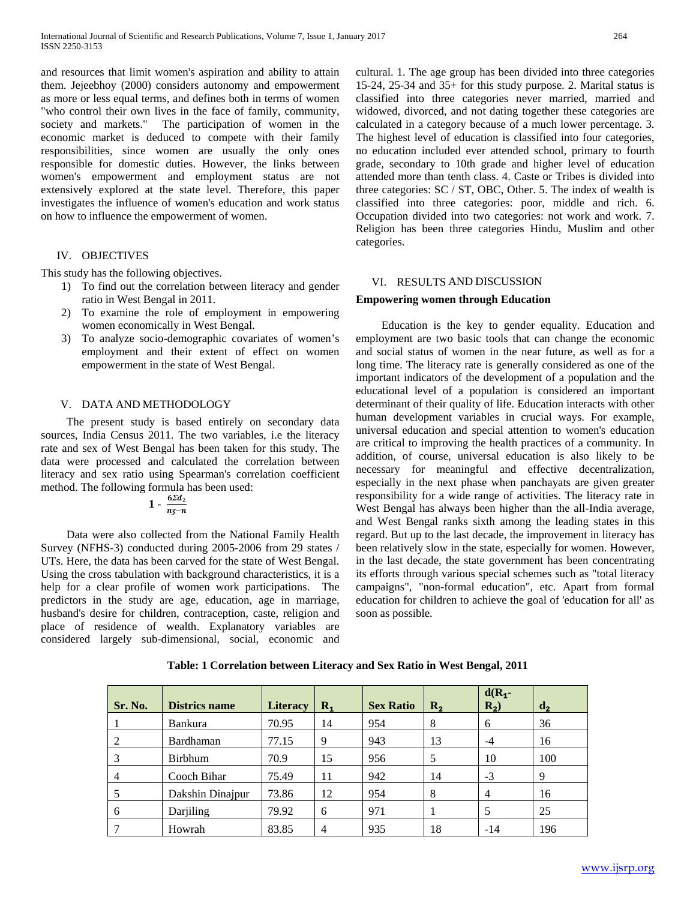and resources that limit women's aspiration and ability to attain them. Jejeebhoy (2000) considers autonomy and empowerment as more or less equal terms, and defines both in terms of women "who control their own lives in the face of family, community, society and markets." The participation of women in the economic market is deduced to compete with their family responsibilities, since women are usually the only ones responsible for domestic duties. However, the links between women's empowerment and employment status are not extensively explored at the state level. Therefore, this paper investigates the influence of women's education and work status on how to influence the empowerment of women.

## IV. OBJECTIVES

This study has the following objectives.

- 1) To find out the correlation between literacy and gender ratio in West Bengal in 2011.
- 2) To examine the role of employment in empowering women economically in West Bengal.
- 3) To analyze socio-demographic covariates of women's employment and their extent of effect on women empowerment in the state of West Bengal.

## V. DATA AND METHODOLOGY

 The present study is based entirely on secondary data sources, India Census 2011. The two variables, i.e the literacy rate and sex of West Bengal has been taken for this study. The data were processed and calculated the correlation between literacy and sex ratio using Spearman's correlation coefficient method. The following formula has been used:

$$
1-\frac{6\sum d_2}{n_3-n}
$$

 Data were also collected from the National Family Health Survey (NFHS-3) conducted during 2005-2006 from 29 states / UTs. Here, the data has been carved for the state of West Bengal. Using the cross tabulation with background characteristics, it is a help for a clear profile of women work participations. The predictors in the study are age, education, age in marriage, husband's desire for children, contraception, caste, religion and place of residence of wealth. Explanatory variables are considered largely sub-dimensional, social, economic and cultural. 1. The age group has been divided into three categories 15-24, 25-34 and 35+ for this study purpose. 2. Marital status is classified into three categories never married, married and widowed, divorced, and not dating together these categories are calculated in a category because of a much lower percentage. 3. The highest level of education is classified into four categories, no education included ever attended school, primary to fourth grade, secondary to 10th grade and higher level of education attended more than tenth class. 4. Caste or Tribes is divided into three categories: SC / ST, OBC, Other. 5. The index of wealth is classified into three categories: poor, middle and rich. 6. Occupation divided into two categories: not work and work. 7. Religion has been three categories Hindu, Muslim and other categories.

## VI. RESULTS AND DISCUSSION

#### **Empowering women through Education**

 Education is the key to gender equality. Education and employment are two basic tools that can change the economic and social status of women in the near future, as well as for a long time. The literacy rate is generally considered as one of the important indicators of the development of a population and the educational level of a population is considered an important determinant of their quality of life. Education interacts with other human development variables in crucial ways. For example, universal education and special attention to women's education are critical to improving the health practices of a community. In addition, of course, universal education is also likely to be necessary for meaningful and effective decentralization, especially in the next phase when panchayats are given greater responsibility for a wide range of activities. The literacy rate in West Bengal has always been higher than the all-India average, and West Bengal ranks sixth among the leading states in this regard. But up to the last decade, the improvement in literacy has been relatively slow in the state, especially for women. However, in the last decade, the state government has been concentrating its efforts through various special schemes such as "total literacy campaigns", "non-formal education", etc. Apart from formal education for children to achieve the goal of 'education for all' as soon as possible.

| Sr. No.        | <b>Districs name</b> | <b>Literacy</b> | $\mathbf{R}_1$ | <b>Sex Ratio</b> | $R_{2}$ | $d(R_1 -$<br>$R_2$ ) | $\mathbf{d}_2$ |
|----------------|----------------------|-----------------|----------------|------------------|---------|----------------------|----------------|
|                | Bankura              | 70.95           | 14             | 954              | 8       | 6                    | 36             |
| 2              | Bardhaman            | 77.15           | 9              | 943              | 13      | $-4$                 | 16             |
| 3              | <b>Birbhum</b>       | 70.9            | 15             | 956              | 5       | 10                   | 100            |
| $\overline{4}$ | Cooch Bihar          | 75.49           | 11             | 942              | 14      | $-3$                 | 9              |
|                | Dakshin Dinajpur     | 73.86           | 12             | 954              | 8       | 4                    | 16             |
| 6              | Darjiling            | 79.92           | 6              | 971              |         | 5                    | 25             |
|                | Howrah               | 83.85           | 4              | 935              | 18      | $-14$                | 196            |

**Table: 1 Correlation between Literacy and Sex Ratio in West Bengal, 2011**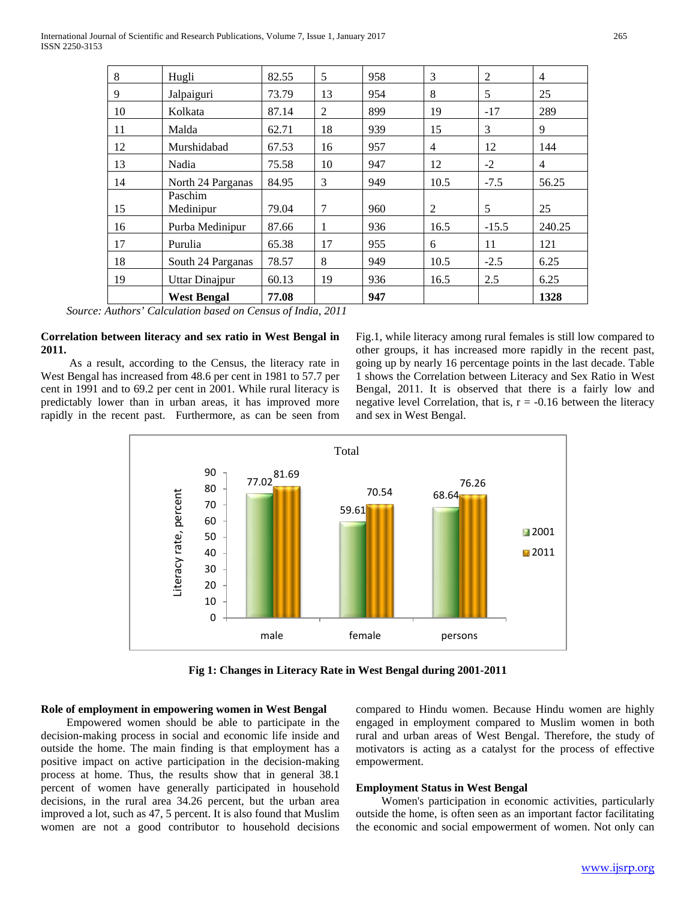| 8  | Hugli                 | 82.55 | 5  | 958 | 3    | $\overline{2}$ | $\overline{4}$ |
|----|-----------------------|-------|----|-----|------|----------------|----------------|
| 9  | Jalpaiguri            | 73.79 | 13 | 954 | 8    | 5              | 25             |
| 10 | Kolkata               | 87.14 | 2  | 899 | 19   | $-17$          | 289            |
| 11 | Malda                 | 62.71 | 18 | 939 | 15   | 3              | 9              |
| 12 | Murshidabad           | 67.53 | 16 | 957 | 4    | 12             | 144            |
| 13 | Nadia                 | 75.58 | 10 | 947 | 12   | $-2$           | 4              |
| 14 | North 24 Parganas     | 84.95 | 3  | 949 | 10.5 | $-7.5$         | 56.25          |
| 15 | Paschim<br>Medinipur  | 79.04 | 7  | 960 | 2    | 5              | 25             |
| 16 | Purba Medinipur       | 87.66 | 1  | 936 | 16.5 | $-15.5$        | 240.25         |
| 17 | Purulia               | 65.38 | 17 | 955 | 6    | 11             | 121            |
| 18 | South 24 Parganas     | 78.57 | 8  | 949 | 10.5 | $-2.5$         | 6.25           |
| 19 | <b>Uttar Dinajpur</b> | 60.13 | 19 | 936 | 16.5 | 2.5            | 6.25           |
|    | <b>West Bengal</b>    | 77.08 |    | 947 |      |                | 1328           |

 *Source: Authors' Calculation based on Census of India, 2011*

### **Correlation between literacy and sex ratio in West Bengal in 2011.**

 As a result, according to the Census, the literacy rate in West Bengal has increased from 48.6 per cent in 1981 to 57.7 per cent in 1991 and to 69.2 per cent in 2001. While rural literacy is predictably lower than in urban areas, it has improved more rapidly in the recent past. Furthermore, as can be seen from Fig.1, while literacy among rural females is still low compared to other groups, it has increased more rapidly in the recent past, going up by nearly 16 percentage points in the last decade. Table 1 shows the Correlation between Literacy and Sex Ratio in West Bengal, 2011. It is observed that there is a fairly low and negative level Correlation, that is,  $r = -0.16$  between the literacy and sex in West Bengal.



**Fig 1: Changes in Literacy Rate in West Bengal during 2001-2011**

# **Role of employment in empowering women in West Bengal**

 Empowered women should be able to participate in the decision-making process in social and economic life inside and outside the home. The main finding is that employment has a positive impact on active participation in the decision-making process at home. Thus, the results show that in general 38.1 percent of women have generally participated in household decisions, in the rural area 34.26 percent, but the urban area improved a lot, such as 47, 5 percent. It is also found that Muslim women are not a good contributor to household decisions compared to Hindu women. Because Hindu women are highly engaged in employment compared to Muslim women in both rural and urban areas of West Bengal. Therefore, the study of motivators is acting as a catalyst for the process of effective empowerment.

# **Employment Status in West Bengal**

 Women's participation in economic activities, particularly outside the home, is often seen as an important factor facilitating the economic and social empowerment of women. Not only can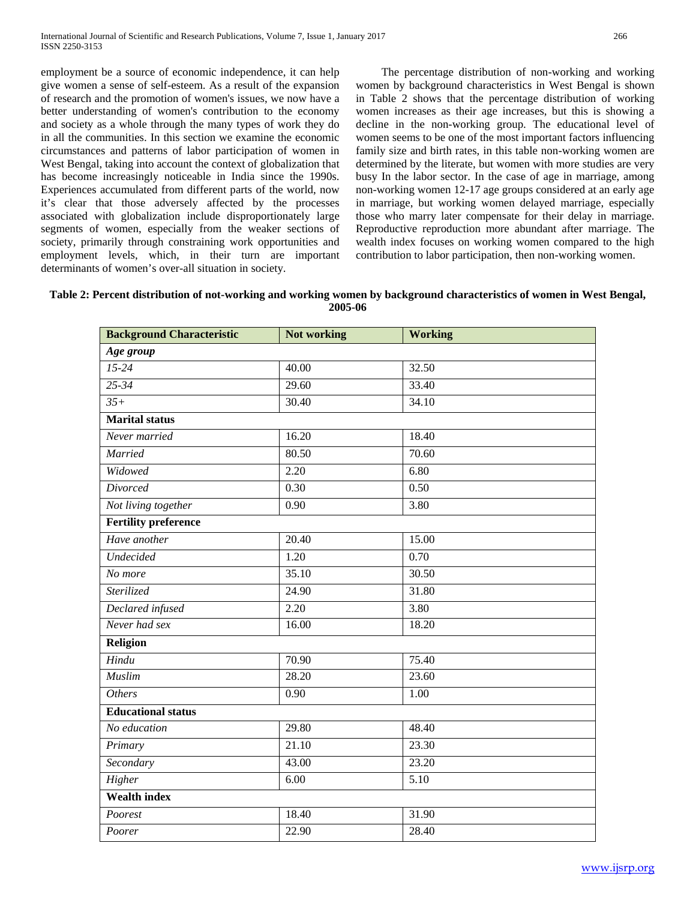employment be a source of economic independence, it can help give women a sense of self-esteem. As a result of the expansion of research and the promotion of women's issues, we now have a better understanding of women's contribution to the economy and society as a whole through the many types of work they do in all the communities. In this section we examine the economic circumstances and patterns of labor participation of women in West Bengal, taking into account the context of globalization that has become increasingly noticeable in India since the 1990s. Experiences accumulated from different parts of the world, now it's clear that those adversely affected by the processes associated with globalization include disproportionately large segments of women, especially from the weaker sections of society, primarily through constraining work opportunities and employment levels, which, in their turn are important determinants of women's over-all situation in society.

 The percentage distribution of non-working and working women by background characteristics in West Bengal is shown in Table 2 shows that the percentage distribution of working women increases as their age increases, but this is showing a decline in the non-working group. The educational level of women seems to be one of the most important factors influencing family size and birth rates, in this table non-working women are determined by the literate, but women with more studies are very busy In the labor sector. In the case of age in marriage, among non-working women 12-17 age groups considered at an early age in marriage, but working women delayed marriage, especially those who marry later compensate for their delay in marriage. Reproductive reproduction more abundant after marriage. The wealth index focuses on working women compared to the high contribution to labor participation, then non-working women.

**Table 2: Percent distribution of not-working and working women by background characteristics of women in West Bengal, 2005-06**

| <b>Background Characteristic</b> | Not working       | <b>Working</b> |
|----------------------------------|-------------------|----------------|
| Age group                        |                   |                |
| $15 - 24$                        | 40.00             | 32.50          |
| $25 - 34$                        | 29.60             | 33.40          |
| $35+$                            | 30.40             | 34.10          |
| <b>Marital</b> status            |                   |                |
| Never married                    | 16.20             | 18.40          |
| Married                          | 80.50             | 70.60          |
| Widowed                          | 2.20              | 6.80           |
| <b>Divorced</b>                  | 0.30              | 0.50           |
| Not living together              | 0.90              | 3.80           |
| <b>Fertility preference</b>      |                   |                |
| Have another                     | 20.40             | 15.00          |
| <b>Undecided</b>                 | 1.20              | 0.70           |
| No more                          | 35.10             | 30.50          |
| Sterilized                       | 24.90             | 31.80          |
| Declared infused                 | $\overline{2.20}$ | 3.80           |
| Never had sex                    | 16.00             | 18.20          |
| <b>Religion</b>                  |                   |                |
| Hindu                            | 70.90             | 75.40          |
| <b>Muslim</b>                    | 28.20             | 23.60          |
| <b>Others</b>                    | 0.90              | 1.00           |
| <b>Educational status</b>        |                   |                |
| No education                     | 29.80             | 48.40          |
| Primary                          | 21.10             | 23.30          |
| Secondary                        | 43.00             | 23.20          |
| Higher                           | 6.00              | 5.10           |
| <b>Wealth index</b>              |                   |                |
| Poorest                          | 18.40             | 31.90          |
| Poorer                           | 22.90             | 28.40          |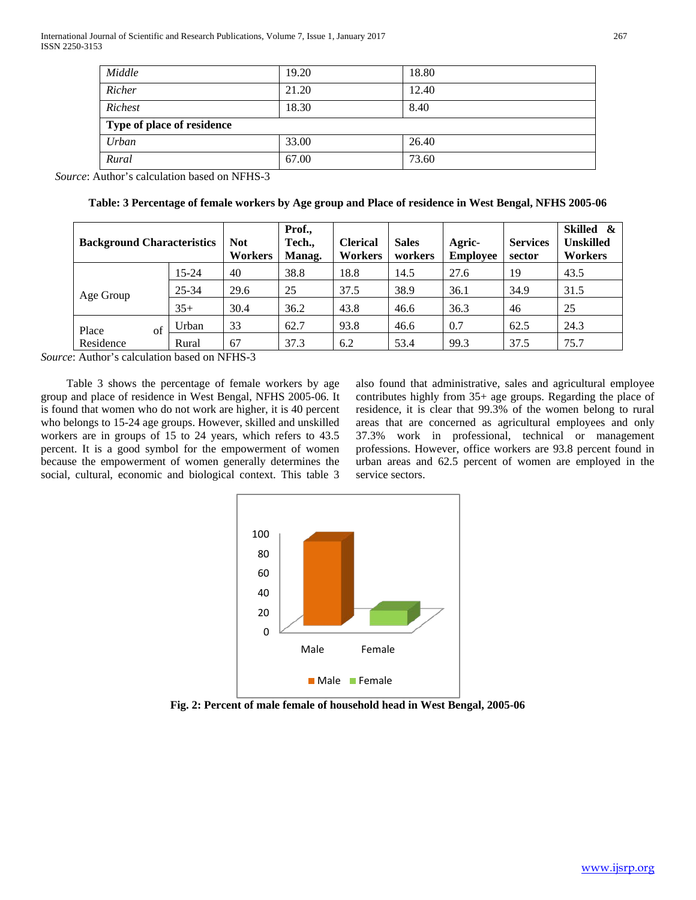| Middle                     | 19.20 | 18.80 |  |  |  |  |
|----------------------------|-------|-------|--|--|--|--|
| Richer                     | 21.20 | 12.40 |  |  |  |  |
| Richest                    | 18.30 | 8.40  |  |  |  |  |
| Type of place of residence |       |       |  |  |  |  |
| Urban                      | 33.00 | 26.40 |  |  |  |  |
| Rural                      | 67.00 | 73.60 |  |  |  |  |

 *Source*: Author's calculation based on NFHS-3

|  |  | Table: 3 Percentage of female workers by Age group and Place of residence in West Bengal, NFHS 2005-06 |
|--|--|--------------------------------------------------------------------------------------------------------|
|  |  |                                                                                                        |

| <b>Background Characteristics</b> |           | <b>Not</b><br>Workers | Prof.,<br>Tech.,<br>Manag. | <b>Clerical</b><br>Workers | <b>Sales</b><br>workers | Agric-<br><b>Employee</b> | <b>Services</b><br>sector | Skilled &<br><b>Unskilled</b><br>Workers |
|-----------------------------------|-----------|-----------------------|----------------------------|----------------------------|-------------------------|---------------------------|---------------------------|------------------------------------------|
|                                   | $15 - 24$ | 40                    | 38.8                       | 18.8                       | 14.5                    | 27.6                      | 19                        | 43.5                                     |
| Age Group                         | 25-34     | 29.6                  | 25                         | 37.5                       | 38.9                    | 36.1                      | 34.9                      | 31.5                                     |
|                                   | $35+$     | 30.4                  | 36.2                       | 43.8                       | 46.6                    | 36.3                      | 46                        | 25                                       |
| Place<br>of                       | Urban     | 33                    | 62.7                       | 93.8                       | 46.6                    | 0.7                       | 62.5                      | 24.3                                     |
| Residence                         | Rural     | 67                    | 37.3                       | 6.2                        | 53.4                    | 99.3                      | 37.5                      | 75.7                                     |

*Source*: Author's calculation based on NFHS-3

 Table 3 shows the percentage of female workers by age group and place of residence in West Bengal, NFHS 2005-06. It is found that women who do not work are higher, it is 40 percent who belongs to 15-24 age groups. However, skilled and unskilled workers are in groups of 15 to 24 years, which refers to 43.5 percent. It is a good symbol for the empowerment of women because the empowerment of women generally determines the social, cultural, economic and biological context. This table 3

also found that administrative, sales and agricultural employee contributes highly from 35+ age groups. Regarding the place of residence, it is clear that 99.3% of the women belong to rural areas that are concerned as agricultural employees and only 37.3% work in professional, technical or management professions. However, office workers are 93.8 percent found in urban areas and 62.5 percent of women are employed in the service sectors.



**Fig. 2: Percent of male female of household head in West Bengal, 2005-06**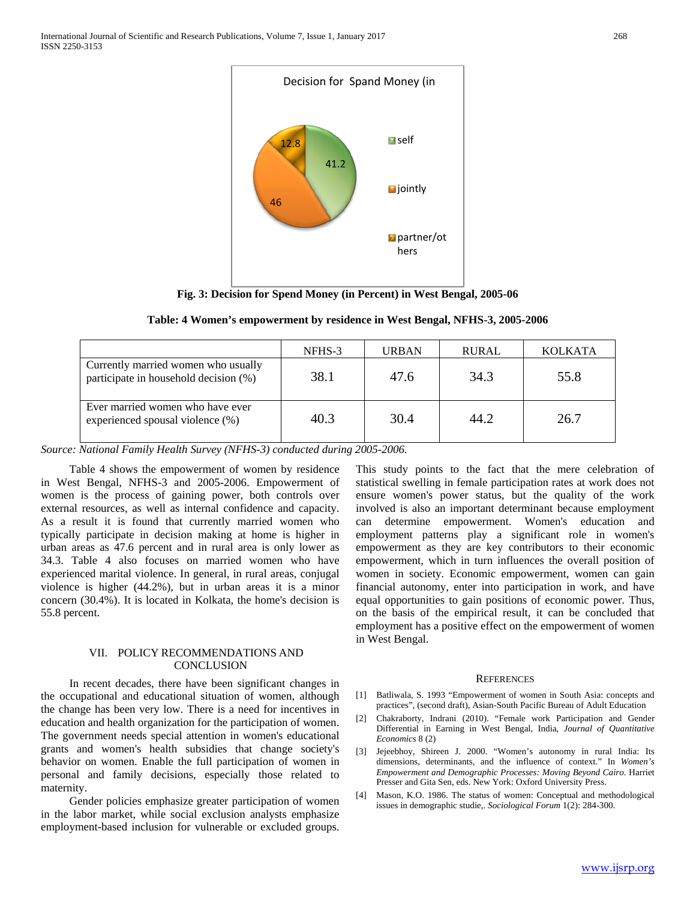

**Fig. 3: Decision for Spend Money (in Percent) in West Bengal, 2005-06**

|  | Table: 4 Women's empowerment by residence in West Bengal, NFHS-3, 2005-2006 |  |  |
|--|-----------------------------------------------------------------------------|--|--|
|  |                                                                             |  |  |

|                                                                              | NFHS-3 | <b>URBAN</b> | <b>RURAL</b> | <b>KOLKATA</b> |
|------------------------------------------------------------------------------|--------|--------------|--------------|----------------|
| Currently married women who usually<br>participate in household decision (%) | 38.1   | 47.6         | 34.3         | 55.8           |
| Ever married women who have ever<br>experienced spousal violence (%)         | 40.3   | 30.4         | 44.2         | 26.7           |

*Source: National Family Health Survey (NFHS-3) conducted during 2005-2006.*

 Table 4 shows the empowerment of women by residence in West Bengal, NFHS-3 and 2005-2006. Empowerment of women is the process of gaining power, both controls over external resources, as well as internal confidence and capacity. As a result it is found that currently married women who typically participate in decision making at home is higher in urban areas as 47.6 percent and in rural area is only lower as 34.3. Table 4 also focuses on married women who have experienced marital violence. In general, in rural areas, conjugal violence is higher (44.2%), but in urban areas it is a minor concern (30.4%). It is located in Kolkata, the home's decision is 55.8 percent.

## VII. POLICY RECOMMENDATIONS AND **CONCLUSION**

 In recent decades, there have been significant changes in the occupational and educational situation of women, although the change has been very low. There is a need for incentives in education and health organization for the participation of women. The government needs special attention in women's educational grants and women's health subsidies that change society's behavior on women. Enable the full participation of women in personal and family decisions, especially those related to maternity.

 Gender policies emphasize greater participation of women in the labor market, while social exclusion analysts emphasize employment-based inclusion for vulnerable or excluded groups.

This study points to the fact that the mere celebration of statistical swelling in female participation rates at work does not ensure women's power status, but the quality of the work involved is also an important determinant because employment can determine empowerment. Women's education and employment patterns play a significant role in women's empowerment as they are key contributors to their economic empowerment, which in turn influences the overall position of women in society. Economic empowerment, women can gain financial autonomy, enter into participation in work, and have equal opportunities to gain positions of economic power. Thus, on the basis of the empirical result, it can be concluded that employment has a positive effect on the empowerment of women in West Bengal.

#### **REFERENCES**

- [1] Batliwala, S. 1993 "Empowerment of women in South Asia: concepts and practices", (second draft), Asian-South Pacific Bureau of Adult Education
- [2] Chakraborty, Indrani (2010). "Female work Participation and Gender Differential in Earning in West Bengal, India, *Journal of Quantitative Economics* 8 (2)
- [3] Jejeebhoy, Shireen J. 2000. "Women's autonomy in rural India: Its dimensions, determinants, and the influence of context." In *Women's Empowerment and Demographic Processes: Moving Beyond Cairo.* Harriet Presser and Gita Sen, eds. New York: Oxford University Press.
- [4] Mason, K.O. 1986. The status of women: Conceptual and methodological issues in demographic studie,. *Sociological Forum* 1(2): 284-300.